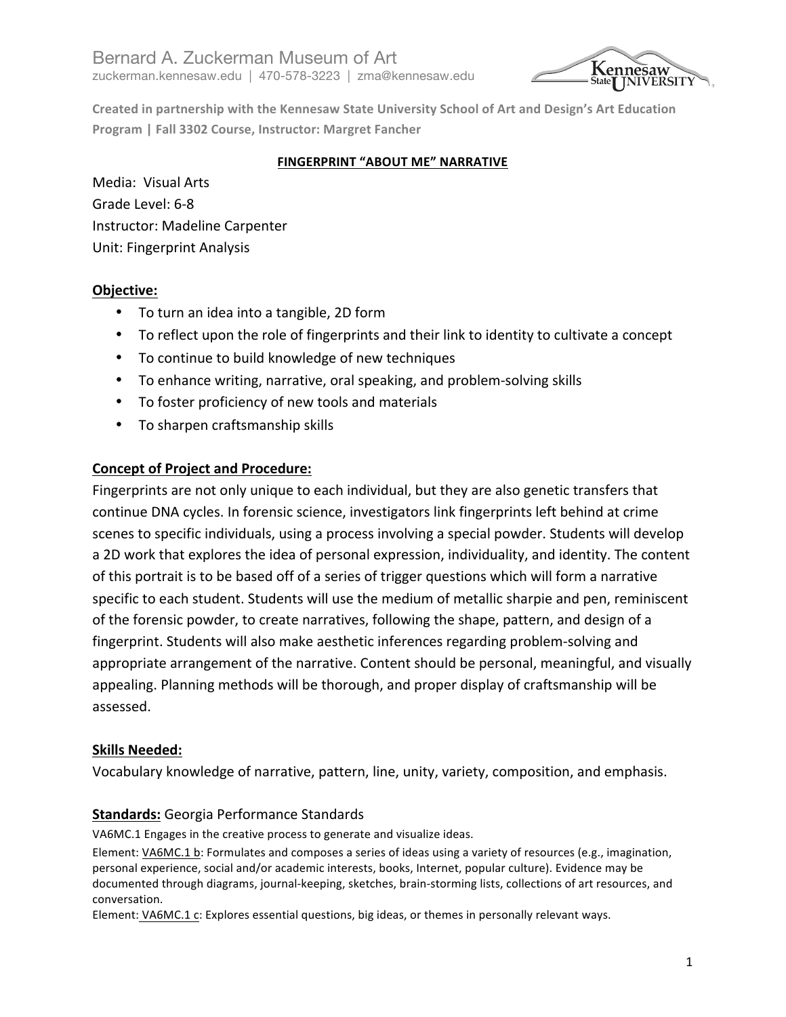

Created in partnership with the Kennesaw State University School of Art and Design's Art Education **Program | Fall 3302 Course, Instructor: Margret Fancher** 

### **FINGERPRINT "ABOUT ME" NARRATIVE**

Media: Visual Arts Grade Level: 6-8 Instructor: Madeline Carpenter Unit: Fingerprint Analysis

# **Objective:**

- To turn an idea into a tangible, 2D form
- To reflect upon the role of fingerprints and their link to identity to cultivate a concept
- To continue to build knowledge of new techniques
- To enhance writing, narrative, oral speaking, and problem-solving skills
- To foster proficiency of new tools and materials
- To sharpen craftsmanship skills

# **Concept of Project and Procedure:**

Fingerprints are not only unique to each individual, but they are also genetic transfers that continue DNA cycles. In forensic science, investigators link fingerprints left behind at crime scenes to specific individuals, using a process involving a special powder. Students will develop a 2D work that explores the idea of personal expression, individuality, and identity. The content of this portrait is to be based off of a series of trigger questions which will form a narrative specific to each student. Students will use the medium of metallic sharpie and pen, reminiscent of the forensic powder, to create narratives, following the shape, pattern, and design of a fingerprint. Students will also make aesthetic inferences regarding problem-solving and appropriate arrangement of the narrative. Content should be personal, meaningful, and visually appealing. Planning methods will be thorough, and proper display of craftsmanship will be assessed. 

# **Skills Needed:**

Vocabulary knowledge of narrative, pattern, line, unity, variety, composition, and emphasis.

# **Standards:** Georgia Performance Standards

VA6MC.1 Engages in the creative process to generate and visualize ideas.

Element: VA6MC.1 b: Formulates and composes a series of ideas using a variety of resources (e.g., imagination, personal experience, social and/or academic interests, books, Internet, popular culture). Evidence may be documented through diagrams, journal-keeping, sketches, brain-storming lists, collections of art resources, and conversation. 

Element: VA6MC.1 c: Explores essential questions, big ideas, or themes in personally relevant ways.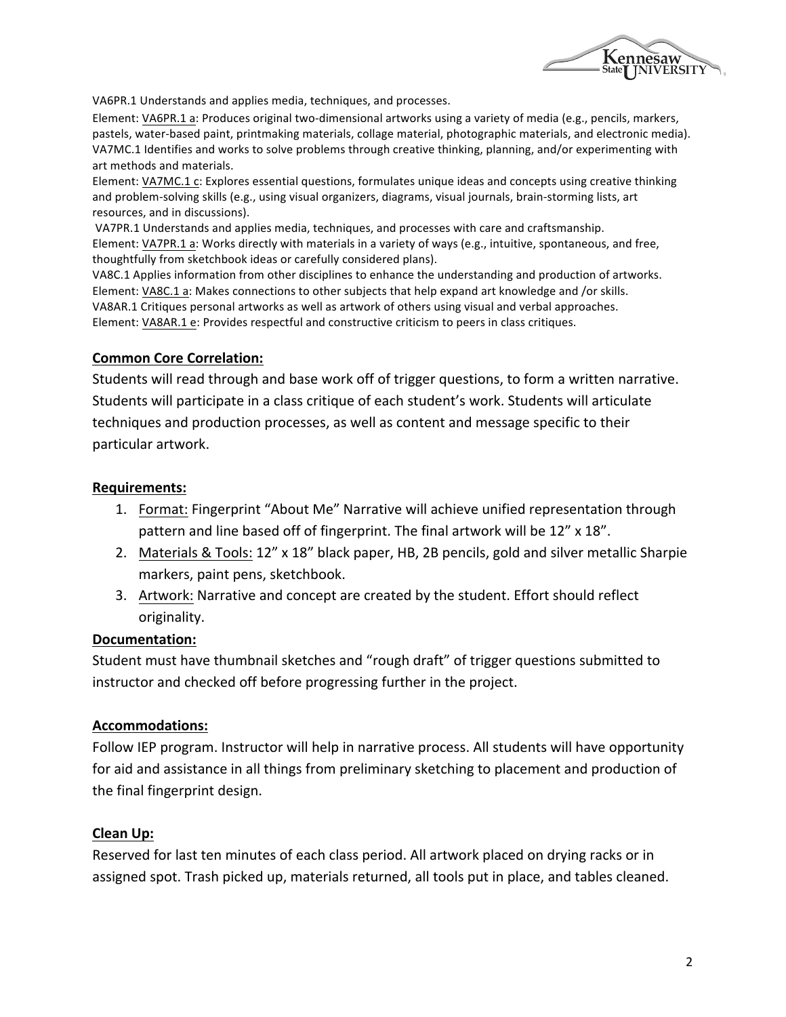

VA6PR.1 Understands and applies media, techniques, and processes.

Element: VA6PR.1 a: Produces original two-dimensional artworks using a variety of media (e.g., pencils, markers, pastels, water-based paint, printmaking materials, collage material, photographic materials, and electronic media). VA7MC.1 Identifies and works to solve problems through creative thinking, planning, and/or experimenting with art methods and materials.

Element: VA7MC.1 c: Explores essential questions, formulates unique ideas and concepts using creative thinking and problem-solving skills (e.g., using visual organizers, diagrams, visual journals, brain-storming lists, art resources, and in discussions).

VA7PR.1 Understands and applies media, techniques, and processes with care and craftsmanship. Element: VA7PR.1 a: Works directly with materials in a variety of ways (e.g., intuitive, spontaneous, and free, thoughtfully from sketchbook ideas or carefully considered plans).

VA8C.1 Applies information from other disciplines to enhance the understanding and production of artworks. Element: VA8C.1 a: Makes connections to other subjects that help expand art knowledge and /or skills. VA8AR.1 Critiques personal artworks as well as artwork of others using visual and verbal approaches. Element: VA8AR.1 e: Provides respectful and constructive criticism to peers in class critiques.

#### **Common Core Correlation:**

Students will read through and base work off of trigger questions, to form a written narrative. Students will participate in a class critique of each student's work. Students will articulate techniques and production processes, as well as content and message specific to their particular artwork.

#### **Requirements:**

- 1. Format: Fingerprint "About Me" Narrative will achieve unified representation through pattern and line based off of fingerprint. The final artwork will be 12" x 18".
- 2. Materials & Tools: 12" x 18" black paper, HB, 2B pencils, gold and silver metallic Sharpie markers, paint pens, sketchbook.
- 3. Artwork: Narrative and concept are created by the student. Effort should reflect originality.

#### **Documentation:**

Student must have thumbnail sketches and "rough draft" of trigger questions submitted to instructor and checked off before progressing further in the project.

#### **Accommodations:**

Follow IEP program. Instructor will help in narrative process. All students will have opportunity for aid and assistance in all things from preliminary sketching to placement and production of the final fingerprint design.

#### **Clean Up:**

Reserved for last ten minutes of each class period. All artwork placed on drying racks or in assigned spot. Trash picked up, materials returned, all tools put in place, and tables cleaned.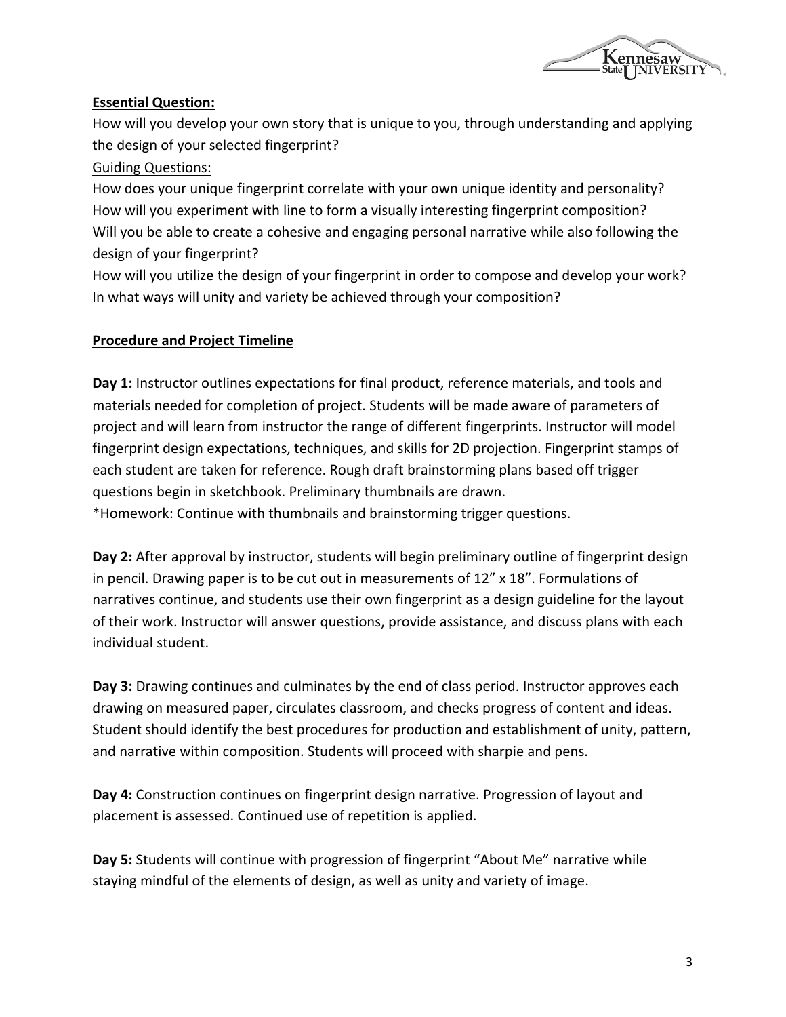

### **Essential Question:**

How will you develop your own story that is unique to you, through understanding and applying the design of your selected fingerprint?

### Guiding Questions:

How does your unique fingerprint correlate with your own unique identity and personality? How will you experiment with line to form a visually interesting fingerprint composition? Will you be able to create a cohesive and engaging personal narrative while also following the design of your fingerprint?

How will you utilize the design of your fingerprint in order to compose and develop your work? In what ways will unity and variety be achieved through your composition?

### **Procedure and Project Timeline**

**Day 1:** Instructor outlines expectations for final product, reference materials, and tools and materials needed for completion of project. Students will be made aware of parameters of project and will learn from instructor the range of different fingerprints. Instructor will model fingerprint design expectations, techniques, and skills for 2D projection. Fingerprint stamps of each student are taken for reference. Rough draft brainstorming plans based off trigger questions begin in sketchbook. Preliminary thumbnails are drawn. \*Homework: Continue with thumbnails and brainstorming trigger questions. 

**Day 2:** After approval by instructor, students will begin preliminary outline of fingerprint design in pencil. Drawing paper is to be cut out in measurements of  $12''$  x  $18''$ . Formulations of narratives continue, and students use their own fingerprint as a design guideline for the layout of their work. Instructor will answer questions, provide assistance, and discuss plans with each individual student.

**Day 3:** Drawing continues and culminates by the end of class period. Instructor approves each drawing on measured paper, circulates classroom, and checks progress of content and ideas. Student should identify the best procedures for production and establishment of unity, pattern, and narrative within composition. Students will proceed with sharpie and pens.

**Day 4:** Construction continues on fingerprint design narrative. Progression of layout and placement is assessed. Continued use of repetition is applied.

**Day 5:** Students will continue with progression of fingerprint "About Me" narrative while staying mindful of the elements of design, as well as unity and variety of image.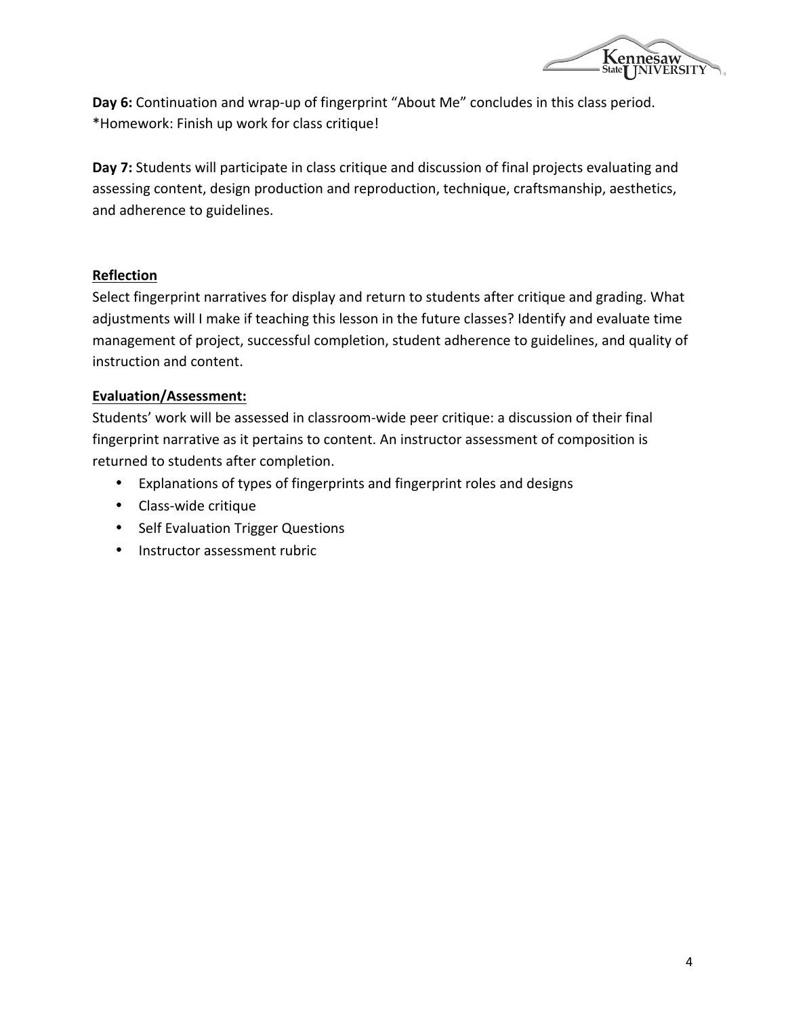

Day 6: Continuation and wrap-up of fingerprint "About Me" concludes in this class period. \*Homework: Finish up work for class critique!

Day 7: Students will participate in class critique and discussion of final projects evaluating and assessing content, design production and reproduction, technique, craftsmanship, aesthetics, and adherence to guidelines.

### **Reflection**

Select fingerprint narratives for display and return to students after critique and grading. What adjustments will I make if teaching this lesson in the future classes? Identify and evaluate time management of project, successful completion, student adherence to guidelines, and quality of instruction and content.

#### **Evaluation/Assessment:**

Students' work will be assessed in classroom-wide peer critique: a discussion of their final fingerprint narrative as it pertains to content. An instructor assessment of composition is returned to students after completion.

- Explanations of types of fingerprints and fingerprint roles and designs
- Class-wide critique
- Self Evaluation Trigger Questions
- Instructor assessment rubric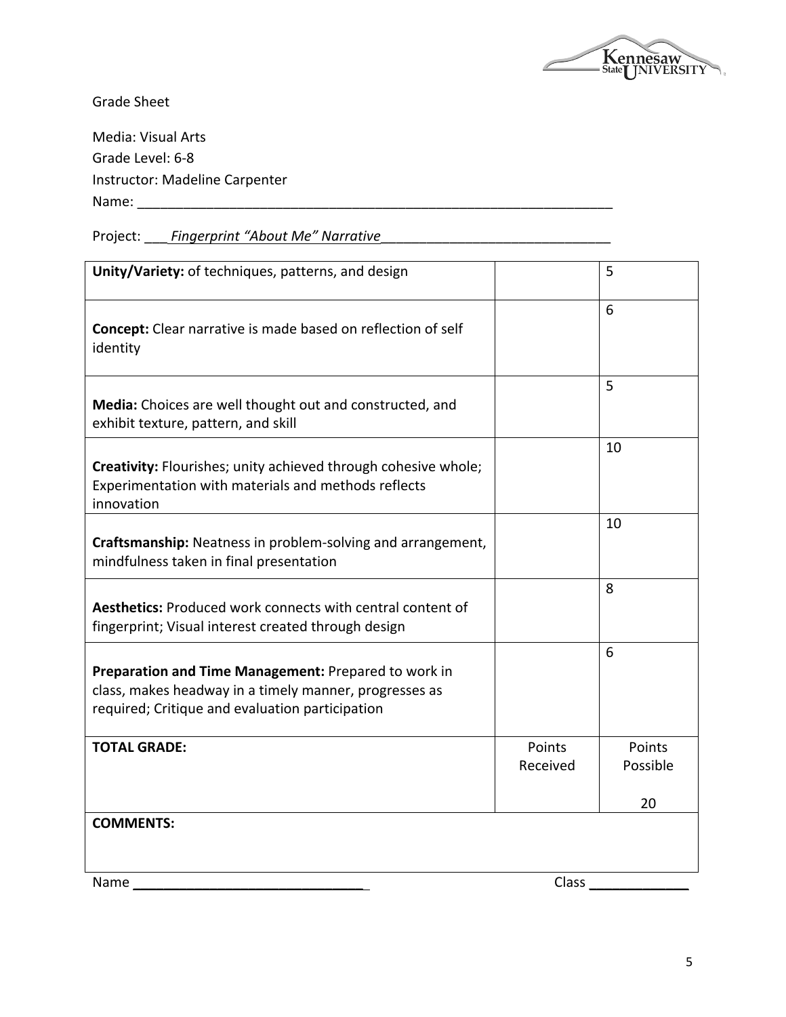

Grade Sheet

Media: Visual Arts Grade Level: 6-8 Instructor: Madeline Carpenter Name: \_\_\_\_\_\_\_\_\_\_\_\_\_\_\_\_\_\_\_\_\_\_\_\_\_\_\_\_\_\_\_\_\_\_\_\_\_\_\_\_\_\_\_\_\_\_\_\_\_\_\_\_\_\_\_\_\_\_\_\_\_\_

Project: \_\_\_ *Fingerprint "About Me" Narrative* 

| Unity/Variety: of techniques, patterns, and design                                                                                                                |                    | 5                  |
|-------------------------------------------------------------------------------------------------------------------------------------------------------------------|--------------------|--------------------|
| <b>Concept:</b> Clear narrative is made based on reflection of self<br>identity                                                                                   |                    | 6                  |
| Media: Choices are well thought out and constructed, and<br>exhibit texture, pattern, and skill                                                                   |                    | 5                  |
| Creativity: Flourishes; unity achieved through cohesive whole;<br>Experimentation with materials and methods reflects<br>innovation                               |                    | 10                 |
| Craftsmanship: Neatness in problem-solving and arrangement,<br>mindfulness taken in final presentation                                                            |                    | 10                 |
| <b>Aesthetics: Produced work connects with central content of</b><br>fingerprint; Visual interest created through design                                          |                    | 8                  |
| Preparation and Time Management: Prepared to work in<br>class, makes headway in a timely manner, progresses as<br>required; Critique and evaluation participation |                    | 6                  |
| <b>TOTAL GRADE:</b>                                                                                                                                               | Points<br>Received | Points<br>Possible |
|                                                                                                                                                                   |                    | 20                 |
| <b>COMMENTS:</b>                                                                                                                                                  |                    |                    |
| Name                                                                                                                                                              | Class              |                    |